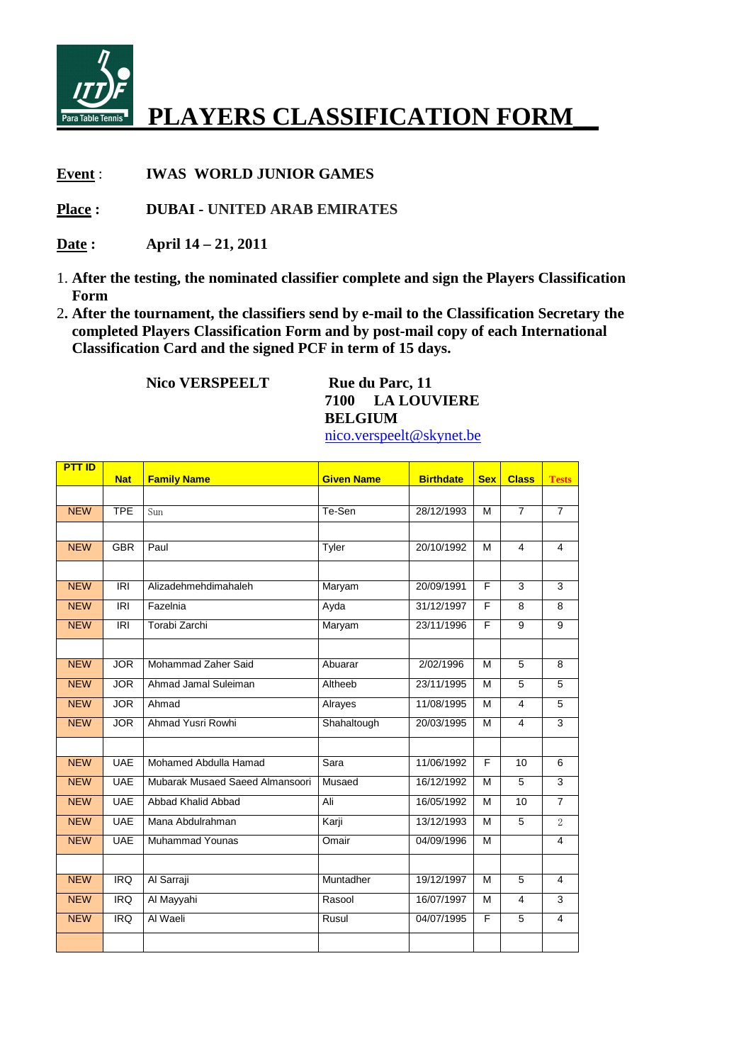

## **PLAYERS CLASSIFICATION FORM\_\_**

**Event** : **IWAS WORLD JUNIOR GAMES** 

**Place : DUBAI - UNITED ARAB EMIRATES** 

- **Date : April 14 21, 2011**
- 1. **After the testing, the nominated classifier complete and sign the Players Classification Form**
- 2**. After the tournament, the classifiers send by e-mail to the Classification Secretary the completed Players Classification Form and by post-mail copy of each International Classification Card and the signed PCF in term of 15 days.**

**Nico VERSPEELT** Rue du Parc, 11 **7100 LA LOUVIERE BELGIUM** 

nico.verspeelt@skynet.be

| <b>PTT ID</b> | <b>Nat</b>      | <b>Family Name</b>              | <b>Given Name</b> | <b>Birthdate</b> | <b>Sex</b>     | <b>Class</b>            | <b>Tests</b>   |
|---------------|-----------------|---------------------------------|-------------------|------------------|----------------|-------------------------|----------------|
|               |                 |                                 |                   |                  |                |                         |                |
| <b>NEW</b>    | <b>TPE</b>      | Sun                             | Te-Sen            | 28/12/1993       | м              | $\overline{7}$          | $\overline{7}$ |
|               |                 |                                 |                   |                  |                |                         |                |
| <b>NEW</b>    | <b>GBR</b>      | Paul                            | Tyler             | 20/10/1992       | M              | 4                       | 4              |
|               |                 |                                 |                   |                  |                |                         |                |
| <b>NEW</b>    | <b>IRI</b>      | Alizadehmehdimahaleh            | Maryam            | 20/09/1991       | F.             | 3                       | 3              |
| <b>NEW</b>    | $\overline{IR}$ | Fazelnia                        | Ayda              | 31/12/1997       | F              | 8                       | 8              |
| <b>NEW</b>    | <b>IRI</b>      | Torabi Zarchi                   | Maryam            | 23/11/1996       | F              | 9                       | $\overline{9}$ |
|               |                 |                                 |                   |                  |                |                         |                |
| <b>NEW</b>    | <b>JOR</b>      | Mohammad Zaher Said             | Abuarar           | 2/02/1996        | M              | 5                       | 8              |
| <b>NEW</b>    | <b>JOR</b>      | Ahmad Jamal Suleiman            | Altheeb           | 23/11/1995       | M              | $\overline{5}$          | $\overline{5}$ |
| <b>NEW</b>    | <b>JOR</b>      | Ahmad                           | Alrayes           | 11/08/1995       | M              | $\overline{\mathbf{4}}$ | 5              |
| <b>NEW</b>    | <b>JOR</b>      | Ahmad Yusri Rowhi               | Shahaltough       | 20/03/1995       | м              | $\overline{4}$          | $\overline{3}$ |
|               |                 |                                 |                   |                  |                |                         |                |
| <b>NEW</b>    | <b>UAE</b>      | Mohamed Abdulla Hamad           | Sara              | 11/06/1992       | $\overline{F}$ | 10                      | 6              |
| <b>NEW</b>    | <b>UAE</b>      | Mubarak Musaed Saeed Almansoori | Musaed            | 16/12/1992       | M              | $\overline{5}$          | 3              |
| <b>NEW</b>    | <b>UAE</b>      | Abbad Khalid Abbad              | Ali               | 16/05/1992       | M              | 10                      | $\overline{7}$ |
| <b>NEW</b>    | <b>UAE</b>      | Mana Abdulrahman                | Karji             | 13/12/1993       | M              | 5                       | 2              |
| <b>NEW</b>    | <b>UAE</b>      | <b>Muhammad Younas</b>          | Omair             | 04/09/1996       | M              |                         | 4              |
|               |                 |                                 |                   |                  |                |                         |                |
| <b>NEW</b>    | <b>IRQ</b>      | Al Sarraji                      | Muntadher         | 19/12/1997       | M              | 5                       | 4              |
| <b>NEW</b>    | <b>IRQ</b>      | Al Mayyahi                      | Rasool            | 16/07/1997       | M              | $\overline{4}$          | $\overline{3}$ |
| <b>NEW</b>    | <b>IRQ</b>      | Al Waeli                        | Rusul             | 04/07/1995       | F              | 5                       | $\overline{4}$ |
|               |                 |                                 |                   |                  |                |                         |                |
|               |                 |                                 |                   |                  |                |                         |                |